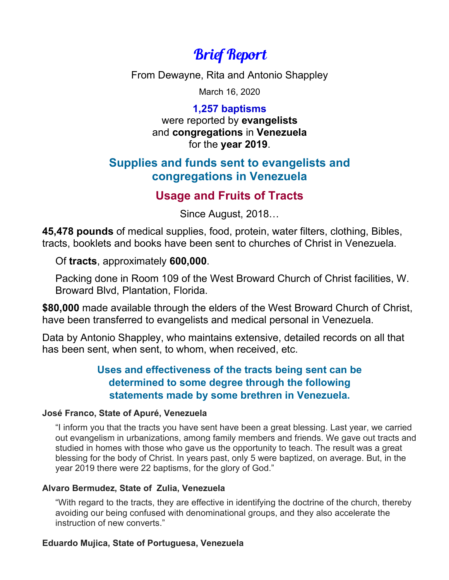# Brief Report

From Dewayne, Rita and Antonio Shappley

March 16, 2020

**1,257 baptisms** were reported by **evangelists** and **congregations** in **Venezuela** for the **year 2019**.

## **Supplies and funds sent to evangelists and congregations in Venezuela**

### **Usage and Fruits of Tracts**

Since August, 2018…

**45,478 pounds** of medical supplies, food, protein, water filters, clothing, Bibles, tracts, booklets and books have been sent to churches of Christ in Venezuela.

Of **tracts**, approximately **600,000**.

Packing done in Room 109 of the West Broward Church of Christ facilities, W. Broward Blvd, Plantation, Florida.

**\$80,000** made available through the elders of the West Broward Church of Christ, have been transferred to evangelists and medical personal in Venezuela.

Data by Antonio Shappley, who maintains extensive, detailed records on all that has been sent, when sent, to whom, when received, etc.

### **Uses and effectiveness of the tracts being sent can be determined to some degree through the following statements made by some brethren in Venezuela.**

#### **José Franco, State of Apuré, Venezuela**

"I inform you that the tracts you have sent have been a great blessing. Last year, we carried out evangelism in urbanizations, among family members and friends. We gave out tracts and studied in homes with those who gave us the opportunity to teach. The result was a great blessing for the body of Christ. In years past, only 5 were baptized, on average. But, in the year 2019 there were 22 baptisms, for the glory of God."

#### **Alvaro Bermudez, State of Zulia, Venezuela**

"With regard to the tracts, they are effective in identifying the doctrine of the church, thereby avoiding our being confused with denominational groups, and they also accelerate the instruction of new converts."

#### **Eduardo Mujica, State of Portuguesa, Venezuela**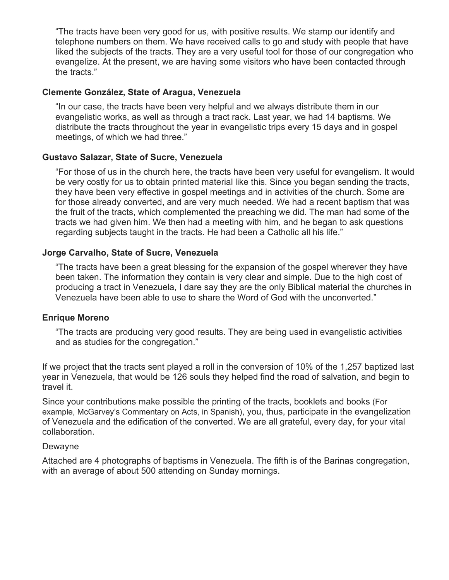"The tracts have been very good for us, with positive results. We stamp our identify and telephone numbers on them. We have received calls to go and study with people that have liked the subjects of the tracts. They are a very useful tool for those of our congregation who evangelize. At the present, we are having some visitors who have been contacted through the tracts."

#### **Clemente González, State of Aragua, Venezuela**

"In our case, the tracts have been very helpful and we always distribute them in our evangelistic works, as well as through a tract rack. Last year, we had 14 baptisms. We distribute the tracts throughout the year in evangelistic trips every 15 days and in gospel meetings, of which we had three."

#### **Gustavo Salazar, State of Sucre, Venezuela**

"For those of us in the church here, the tracts have been very useful for evangelism. It would be very costly for us to obtain printed material like this. Since you began sending the tracts, they have been very effective in gospel meetings and in activities of the church. Some are for those already converted, and are very much needed. We had a recent baptism that was the fruit of the tracts, which complemented the preaching we did. The man had some of the tracts we had given him. We then had a meeting with him, and he began to ask questions regarding subjects taught in the tracts. He had been a Catholic all his life."

#### **Jorge Carvalho, State of Sucre, Venezuela**

"The tracts have been a great blessing for the expansion of the gospel wherever they have been taken. The information they contain is very clear and simple. Due to the high cost of producing a tract in Venezuela, I dare say they are the only Biblical material the churches in Venezuela have been able to use to share the Word of God with the unconverted."

#### **Enrique Moreno**

"The tracts are producing very good results. They are being used in evangelistic activities and as studies for the congregation."

If we project that the tracts sent played a roll in the conversion of 10% of the 1,257 baptized last year in Venezuela, that would be 126 souls they helped find the road of salvation, and begin to travel it.

Since your contributions make possible the printing of the tracts, booklets and books (For example, McGarvey's Commentary on Acts, in Spanish), you, thus, participate in the evangelization of Venezuela and the edification of the converted. We are all grateful, every day, for your vital collaboration.

#### Dewayne

Attached are 4 photographs of baptisms in Venezuela. The fifth is of the Barinas congregation, with an average of about 500 attending on Sunday mornings.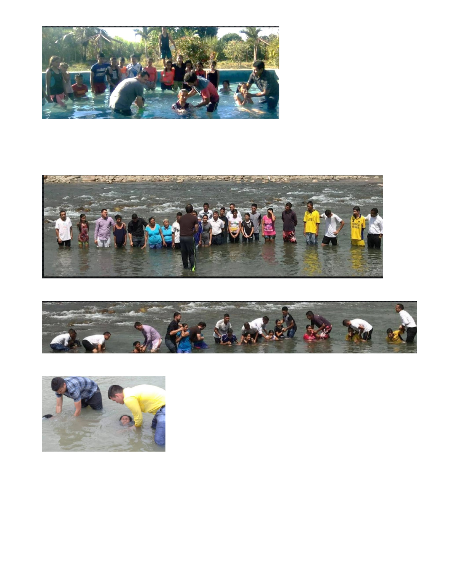